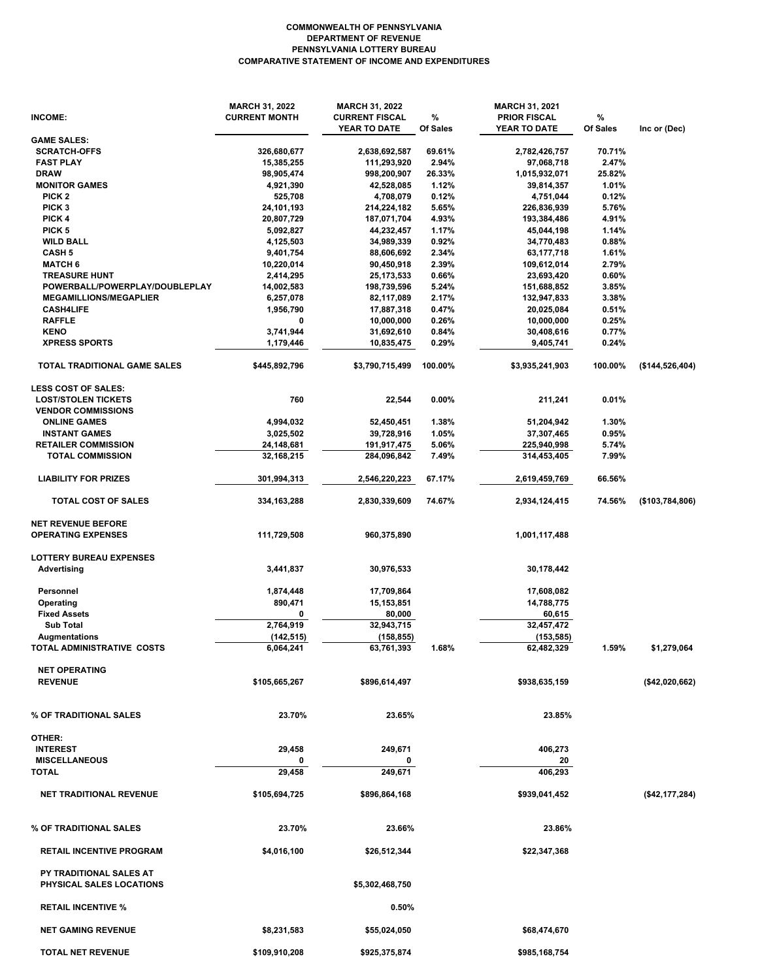## **COMMONWEALTH OF PENNSYLVANIA DEPARTMENT OF REVENUE PENNSYLVANIA LOTTERY BUREAU COMPARATIVE STATEMENT OF INCOME AND EXPENDITURES**

| INCOME:                                                           | <b>MARCH 31, 2022</b><br><b>CURRENT MONTH</b> | <b>MARCH 31, 2022</b><br><b>CURRENT FISCAL</b><br>YEAR TO DATE | %<br>Of Sales | <b>MARCH 31, 2021</b><br><b>PRIOR FISCAL</b><br>YEAR TO DATE | %<br>Of Sales | Inc or (Dec)    |
|-------------------------------------------------------------------|-----------------------------------------------|----------------------------------------------------------------|---------------|--------------------------------------------------------------|---------------|-----------------|
| <b>GAME SALES:</b>                                                |                                               |                                                                |               |                                                              |               |                 |
| <b>SCRATCH-OFFS</b>                                               | 326,680,677                                   | 2,638,692,587                                                  | 69.61%        | 2,782,426,757                                                | 70.71%        |                 |
| <b>FAST PLAY</b>                                                  | 15,385,255                                    | 111,293,920                                                    | 2.94%         | 97,068,718                                                   | 2.47%         |                 |
| <b>DRAW</b>                                                       | 98,905,474                                    | 998,200,907                                                    | 26.33%        | 1,015,932,071                                                | 25.82%        |                 |
| <b>MONITOR GAMES</b>                                              | 4,921,390                                     | 42,528,085                                                     | 1.12%         | 39,814,357                                                   | 1.01%         |                 |
| PICK <sub>2</sub>                                                 | 525,708                                       | 4,708,079                                                      | 0.12%         | 4,751,044                                                    | 0.12%         |                 |
| PICK <sub>3</sub>                                                 | 24,101,193                                    | 214,224,182                                                    | 5.65%         | 226,836,939                                                  | 5.76%         |                 |
| PICK 4                                                            | 20,807,729                                    | 187,071,704                                                    | 4.93%         | 193,384,486                                                  | 4.91%         |                 |
| PICK <sub>5</sub>                                                 | 5,092,827                                     | 44,232,457                                                     | 1.17%         | 45,044,198                                                   | 1.14%         |                 |
| <b>WILD BALL</b>                                                  | 4,125,503                                     | 34,989,339                                                     | 0.92%         | 34,770,483                                                   | 0.88%         |                 |
| <b>CASH 5</b>                                                     | 9,401,754                                     | 88,606,692                                                     | 2.34%         | 63,177,718                                                   | 1.61%         |                 |
| <b>MATCH 6</b>                                                    | 10,220,014                                    | 90,450,918                                                     | 2.39%         | 109,612,014                                                  | 2.79%         |                 |
| <b>TREASURE HUNT</b>                                              | 2,414,295                                     | 25,173,533                                                     | 0.66%         | 23,693,420                                                   | 0.60%         |                 |
| POWERBALL/POWERPLAY/DOUBLEPLAY                                    | 14,002,583                                    | 198,739,596                                                    | 5.24%         | 151,688,852                                                  | 3.85%         |                 |
| <b>MEGAMILLIONS/MEGAPLIER</b>                                     | 6,257,078                                     | 82,117,089                                                     | 2.17%         | 132,947,833                                                  | 3.38%         |                 |
| <b>CASH4LIFE</b>                                                  | 1,956,790                                     | 17,887,318                                                     | 0.47%         | 20,025,084                                                   | 0.51%         |                 |
| <b>RAFFLE</b>                                                     | 0                                             | 10,000,000                                                     | 0.26%         | 10,000,000                                                   | 0.25%         |                 |
| <b>KENO</b>                                                       | 3,741,944                                     | 31,692,610                                                     | 0.84%         | 30,408,616                                                   | 0.77%         |                 |
| <b>XPRESS SPORTS</b>                                              | 1,179,446                                     | 10,835,475                                                     | 0.29%         | 9,405,741                                                    | 0.24%         |                 |
| TOTAL TRADITIONAL GAME SALES                                      | \$445,892,796                                 | \$3,790,715,499                                                | 100.00%       | \$3,935,241,903                                              | 100.00%       | (\$144,526,404) |
| <b>LESS COST OF SALES:</b>                                        |                                               |                                                                |               |                                                              |               |                 |
| <b>LOST/STOLEN TICKETS</b>                                        | 760                                           | 22,544                                                         | 0.00%         | 211,241                                                      | 0.01%         |                 |
| <b>VENDOR COMMISSIONS</b>                                         |                                               |                                                                |               |                                                              |               |                 |
| <b>ONLINE GAMES</b>                                               | 4,994,032                                     | 52,450,451                                                     | 1.38%         | 51,204,942                                                   | 1.30%         |                 |
| <b>INSTANT GAMES</b>                                              | 3,025,502                                     | 39,728,916                                                     | 1.05%         | 37,307,465                                                   | 0.95%         |                 |
| <b>RETAILER COMMISSION</b>                                        | 24,148,681                                    | 191,917,475                                                    | 5.06%         | 225,940,998                                                  | 5.74%         |                 |
| <b>TOTAL COMMISSION</b>                                           | 32,168,215                                    | 284,096,842                                                    | 7.49%         | 314,453,405                                                  | 7.99%         |                 |
| <b>LIABILITY FOR PRIZES</b>                                       | 301,994,313                                   | 2,546,220,223                                                  | 67.17%        | 2,619,459,769                                                | 66.56%        |                 |
| TOTAL COST OF SALES                                               | 334,163,288                                   | 2,830,339,609                                                  | 74.67%        | 2,934,124,415                                                | 74.56%        | (\$103,784,806) |
| <b>NET REVENUE BEFORE</b>                                         |                                               |                                                                |               |                                                              |               |                 |
| <b>OPERATING EXPENSES</b>                                         | 111,729,508                                   | 960,375,890                                                    |               | 1,001,117,488                                                |               |                 |
| <b>LOTTERY BUREAU EXPENSES</b>                                    |                                               |                                                                |               |                                                              |               |                 |
| <b>Advertising</b>                                                | 3,441,837                                     | 30,976,533                                                     |               | 30,178,442                                                   |               |                 |
| Personnel                                                         | 1,874,448                                     | 17,709,864                                                     |               | 17,608,082                                                   |               |                 |
| Operating                                                         | 890,471                                       | 15,153,851                                                     |               | 14,788,775                                                   |               |                 |
| <b>Fixed Assets</b>                                               | 0                                             | 80,000                                                         |               | 60,615                                                       |               |                 |
| <b>Sub Total</b>                                                  | 2,764,919                                     | 32,943,715                                                     |               | 32,457,472                                                   |               |                 |
| Augmentations                                                     | (142, 515)                                    | (158, 855)                                                     |               | (153, 585)                                                   |               |                 |
| TOTAL ADMINISTRATIVE COSTS                                        | 6,064,241                                     | 63,761,393                                                     | 1.68%         | 62,482,329                                                   | 1.59%         | \$1,279,064     |
| <b>NET OPERATING</b>                                              |                                               |                                                                |               |                                                              |               |                 |
| <b>REVENUE</b>                                                    | \$105,665,267                                 | \$896,614,497                                                  |               | \$938,635,159                                                |               | (\$42,020,662)  |
| % OF TRADITIONAL SALES                                            | 23.70%                                        | 23.65%                                                         |               | 23.85%                                                       |               |                 |
| OTHER:                                                            |                                               |                                                                |               |                                                              |               |                 |
| <b>INTEREST</b>                                                   | 29,458                                        | 249,671                                                        |               | 406,273                                                      |               |                 |
| <b>MISCELLANEOUS</b>                                              | 0                                             |                                                                |               |                                                              |               |                 |
| <b>TOTAL</b>                                                      | 29,458                                        | 249,671                                                        |               | 20<br>406,293                                                |               |                 |
|                                                                   |                                               |                                                                |               |                                                              |               |                 |
| <b>NET TRADITIONAL REVENUE</b>                                    | \$105,694,725                                 | \$896,864,168                                                  |               | \$939,041,452                                                |               | (\$42,177,284)  |
| % OF TRADITIONAL SALES                                            | 23.70%                                        | 23.66%                                                         |               | 23.86%                                                       |               |                 |
| <b>RETAIL INCENTIVE PROGRAM</b>                                   | \$4,016,100                                   | \$26,512,344                                                   |               | \$22,347,368                                                 |               |                 |
| <b>PY TRADITIONAL SALES AT</b><br><b>PHYSICAL SALES LOCATIONS</b> |                                               | \$5,302,468,750                                                |               |                                                              |               |                 |
| <b>RETAIL INCENTIVE %</b>                                         |                                               | 0.50%                                                          |               |                                                              |               |                 |
| <b>NET GAMING REVENUE</b>                                         | \$8,231,583                                   | \$55,024,050                                                   |               | \$68,474,670                                                 |               |                 |
| TOTAL NET REVENUE                                                 | \$109,910,208                                 | \$925,375,874                                                  |               | \$985,168,754                                                |               |                 |